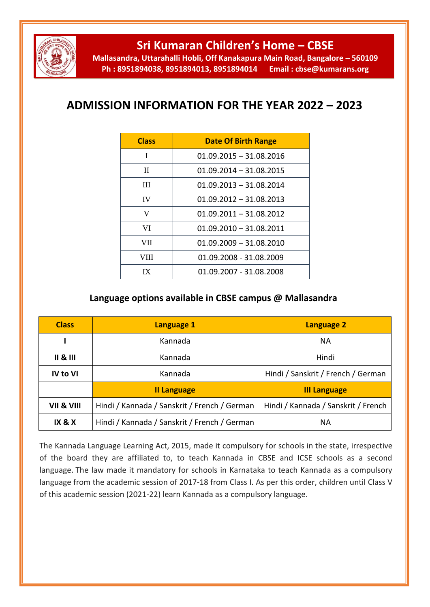

**Sri Kumaran Children's Home – CBSE**

**Mallasandra, Uttarahalli Hobli, Off Kanakapura Main Road, Bangalore – 560109 Ph : 8951894038, 8951894013, 8951894014 Email : cbse@kumarans.org**

## **ADMISSION INFORMATION FOR THE YEAR 2022 – 2023**

| <b>Class</b> | <b>Date Of Birth Range</b> |
|--------------|----------------------------|
| T            | $01.09.2015 - 31.08.2016$  |
| $\mathbf{I}$ | $01.09.2014 - 31.08.2015$  |
| Ш            | $01.09.2013 - 31.08.2014$  |
| <b>IV</b>    | $01.09.2012 - 31.08.2013$  |
| V            | $01.09.2011 - 31.08.2012$  |
| VI           | $01.09.2010 - 31.08.2011$  |
| VII          | $01.09.2009 - 31.08.2010$  |
| VIII         | 01.09.2008 - 31.08.2009    |
| IX           | 01.09.2007 - 31.08.2008    |

## **Language options available in CBSE campus @ Mallasandra**

| <b>Class</b>              | <b>Language 1</b>                            | <b>Language 2</b>                   |
|---------------------------|----------------------------------------------|-------------------------------------|
|                           | Kannada                                      | <b>NA</b>                           |
| $\parallel$ 8 $\parallel$ | Kannada                                      | Hindi                               |
| <b>IV to VI</b>           | Kannada                                      | Hindi / Sanskrit / French / German  |
|                           | <b>Il Language</b>                           | <b>III Language</b>                 |
| VII & VIII                | Hindi / Kannada / Sanskrit / French / German | Hindi / Kannada / Sanskrit / French |
| <b>IX &amp; X</b>         | Hindi / Kannada / Sanskrit / French / German | NА                                  |

The Kannada Language Learning Act, 2015, made it compulsory for schools in the state, irrespective of the board they are affiliated to, to teach Kannada in CBSE and ICSE schools as a second language. The law made it mandatory for schools in Karnataka to teach Kannada as a compulsory language from the academic session of 2017-18 from Class I. As per this order, children until Class V of this academic session (2021-22) learn Kannada as a compulsory language.